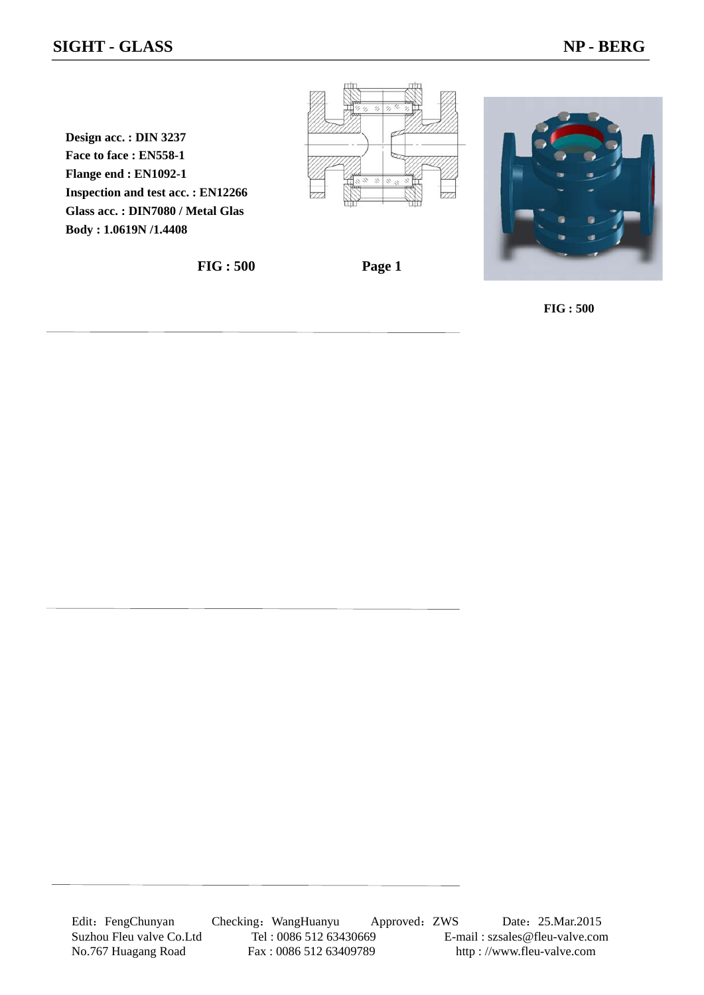### **SIGHT - GLASS NP - BERG**

**Design acc. : DIN 3237 Face to face : EN558-1 Flange end : EN1092-1 Inspection and test acc. : EN12266 Glass acc. : DIN7080 / Metal Glas Body : 1.0619N /1.4408**

**FIG : 500 Page 1** 



**FIG : 500**